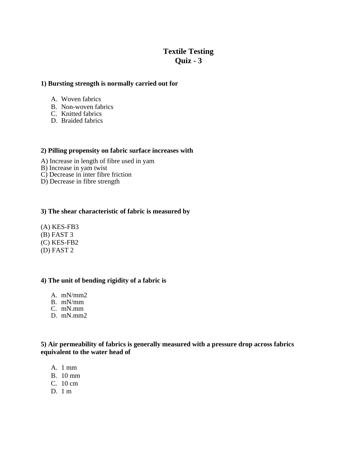# **Textile Testing Quiz - 3**

## **1) Bursting strength is normally carried out for**

- A. Woven fabrics
- B. Non-woven fabrics
- C. Knitted fabrics
- D. Braided fabrics

#### **2) Pilling propensity on fabric surface increases with**

- A) Increase in length of fibre used in yam
- B) Increase in yam twist
- C) Decrease in inter fibre friction
- D) Decrease in fibre strength

#### **3) The shear characteristic of fabric is measured by**

(A) KES-FB3 (B) FAST 3 (C) KES-FB2 (D) FAST 2

## **4) The unit of bending rigidity of a fabric is**

- A. mN/mm2
- B. mN/mm
- C. mN.mm
- D. mN.mm2

# **5) Air permeability of fabrics is generally measured with a pressure drop across fabrics equivalent to the water head of**

- A. 1 mm
- B. 10 mm
- C. 10 cm
- $D.1 m$